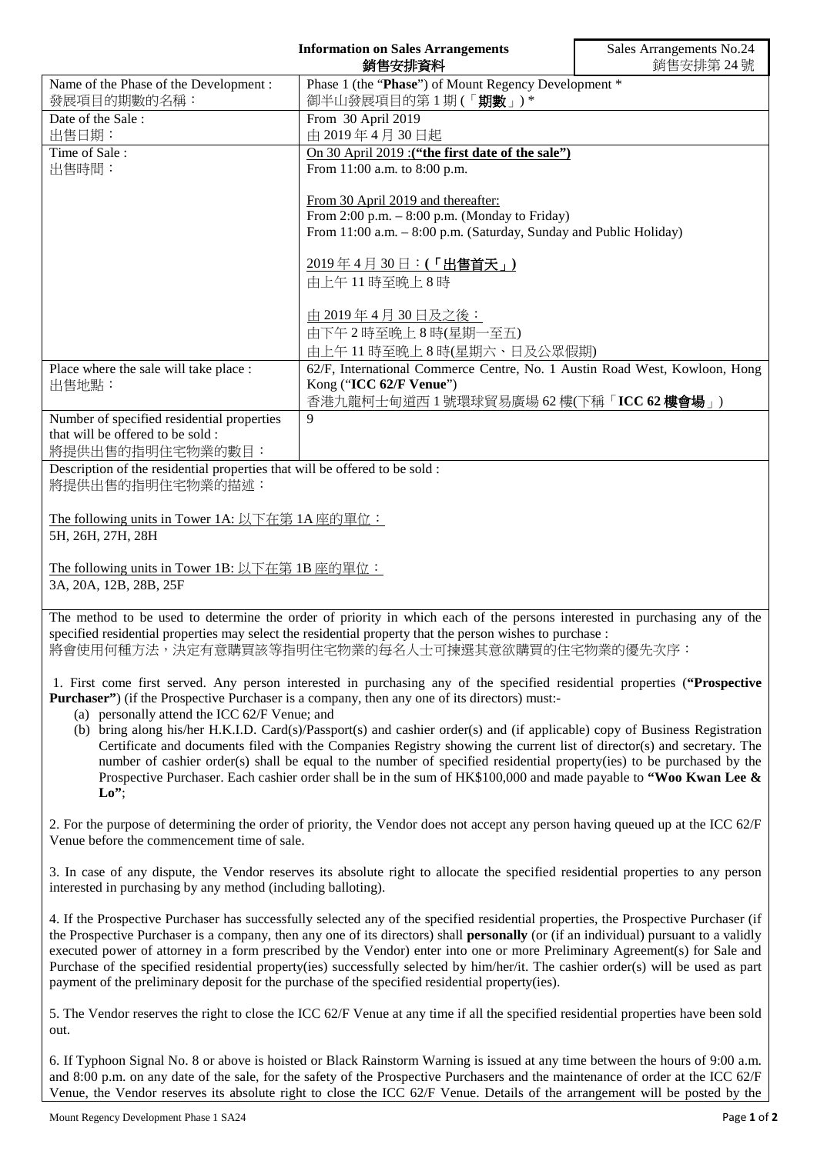|                                                                                                                                                                                                                                        | <b>Information on Sales Arrangements</b><br>銷售安排資料                                     | Sales Arrangements No.24<br>銷售安排第24號 |
|----------------------------------------------------------------------------------------------------------------------------------------------------------------------------------------------------------------------------------------|----------------------------------------------------------------------------------------|--------------------------------------|
| Name of the Phase of the Development:                                                                                                                                                                                                  | Phase 1 (the "Phase") of Mount Regency Development *                                   |                                      |
| 發展項目的期數的名稱:                                                                                                                                                                                                                            | 御半山發展項目的第1期(「期數」)*                                                                     |                                      |
| Date of the Sale:                                                                                                                                                                                                                      | From 30 April 2019                                                                     |                                      |
| 出售日期:                                                                                                                                                                                                                                  | 由 2019年4月30日起                                                                          |                                      |
| Time of Sale:                                                                                                                                                                                                                          | On 30 April 2019 : ("the first date of the sale")                                      |                                      |
| 出售時間:                                                                                                                                                                                                                                  | From 11:00 a.m. to 8:00 p.m.                                                           |                                      |
|                                                                                                                                                                                                                                        |                                                                                        |                                      |
|                                                                                                                                                                                                                                        | From 30 April 2019 and thereafter:<br>From $2:00$ p.m. $-8:00$ p.m. (Monday to Friday) |                                      |
|                                                                                                                                                                                                                                        | From 11:00 a.m. - 8:00 p.m. (Saturday, Sunday and Public Holiday)                      |                                      |
|                                                                                                                                                                                                                                        |                                                                                        |                                      |
|                                                                                                                                                                                                                                        | 2019年4月30日:(「出售首天」)                                                                    |                                      |
|                                                                                                                                                                                                                                        | 由上午11時至晚上8時                                                                            |                                      |
|                                                                                                                                                                                                                                        |                                                                                        |                                      |
|                                                                                                                                                                                                                                        | 由 2019年4月30日及之後:                                                                       |                                      |
|                                                                                                                                                                                                                                        | 由下午2時至晚上8時(星期一至五)                                                                      |                                      |
|                                                                                                                                                                                                                                        | 由上午11時至晚上8時(星期六、日及公眾假期)                                                                |                                      |
| Place where the sale will take place :                                                                                                                                                                                                 | 62/F, International Commerce Centre, No. 1 Austin Road West, Kowloon, Hong             |                                      |
| 出售地點:                                                                                                                                                                                                                                  | Kong ("ICC 62/F Venue")                                                                |                                      |
|                                                                                                                                                                                                                                        | 香港九龍柯士甸道西1號環球貿易廣場 62樓(下稱「ICC 62樓會場」)                                                   |                                      |
| Number of specified residential properties                                                                                                                                                                                             | $\mathbf{Q}$                                                                           |                                      |
| that will be offered to be sold :                                                                                                                                                                                                      |                                                                                        |                                      |
| 將提供出售的指明住宅物業的數目:                                                                                                                                                                                                                       |                                                                                        |                                      |
| Description of the residential properties that will be offered to be sold :                                                                                                                                                            |                                                                                        |                                      |
| 將提供出售的指明住宅物業的描述:                                                                                                                                                                                                                       |                                                                                        |                                      |
|                                                                                                                                                                                                                                        |                                                                                        |                                      |
| The following units in Tower 1A: 以下在第 1A 座的單位:                                                                                                                                                                                         |                                                                                        |                                      |
| 5H, 26H, 27H, 28H                                                                                                                                                                                                                      |                                                                                        |                                      |
|                                                                                                                                                                                                                                        |                                                                                        |                                      |
| The following units in Tower 1B: 以下在第 1B 座的單位:                                                                                                                                                                                         |                                                                                        |                                      |
| 3A, 20A, 12B, 28B, 25F                                                                                                                                                                                                                 |                                                                                        |                                      |
|                                                                                                                                                                                                                                        |                                                                                        |                                      |
| The method to be used to determine the order of priority in which each of the persons interested in purchasing any of the<br>specified residential properties may select the residential property that the person wishes to purchase : |                                                                                        |                                      |
| 將會使用何種方法,決定有意購買該等指明住宅物業的每名人士可揀選其意欲購買的住宅物業的優先次序:                                                                                                                                                                                        |                                                                                        |                                      |
|                                                                                                                                                                                                                                        |                                                                                        |                                      |
| 1. First come first served. Any person interested in purchasing any of the specified residential properties ("Prospective                                                                                                              |                                                                                        |                                      |
| <b>Purchaser</b> ") (if the Prospective Purchaser is a company, then any one of its directors) must:-                                                                                                                                  |                                                                                        |                                      |
| (a) personally attend the ICC 62/F Venue; and                                                                                                                                                                                          |                                                                                        |                                      |

(b) bring along his/her H.K.I.D. Card(s)/Passport(s) and cashier order(s) and (if applicable) copy of Business Registration Certificate and documents filed with the Companies Registry showing the current list of director(s) and secretary. The number of cashier order(s) shall be equal to the number of specified residential property(ies) to be purchased by the Prospective Purchaser. Each cashier order shall be in the sum of HK\$100,000 and made payable to **"Woo Kwan Lee & Lo"**;

2. For the purpose of determining the order of priority, the Vendor does not accept any person having queued up at the ICC 62/F Venue before the commencement time of sale.

3. In case of any dispute, the Vendor reserves its absolute right to allocate the specified residential properties to any person interested in purchasing by any method (including balloting).

4. If the Prospective Purchaser has successfully selected any of the specified residential properties, the Prospective Purchaser (if the Prospective Purchaser is a company, then any one of its directors) shall **personally** (or (if an individual) pursuant to a validly executed power of attorney in a form prescribed by the Vendor) enter into one or more Preliminary Agreement(s) for Sale and Purchase of the specified residential property(ies) successfully selected by him/her/it. The cashier order(s) will be used as part payment of the preliminary deposit for the purchase of the specified residential property(ies).

5. The Vendor reserves the right to close the ICC 62/F Venue at any time if all the specified residential properties have been sold out.

6. If Typhoon Signal No. 8 or above is hoisted or Black Rainstorm Warning is issued at any time between the hours of 9:00 a.m. and 8:00 p.m. on any date of the sale, for the safety of the Prospective Purchasers and the maintenance of order at the ICC 62/F Venue, the Vendor reserves its absolute right to close the ICC 62/F Venue. Details of the arrangement will be posted by the